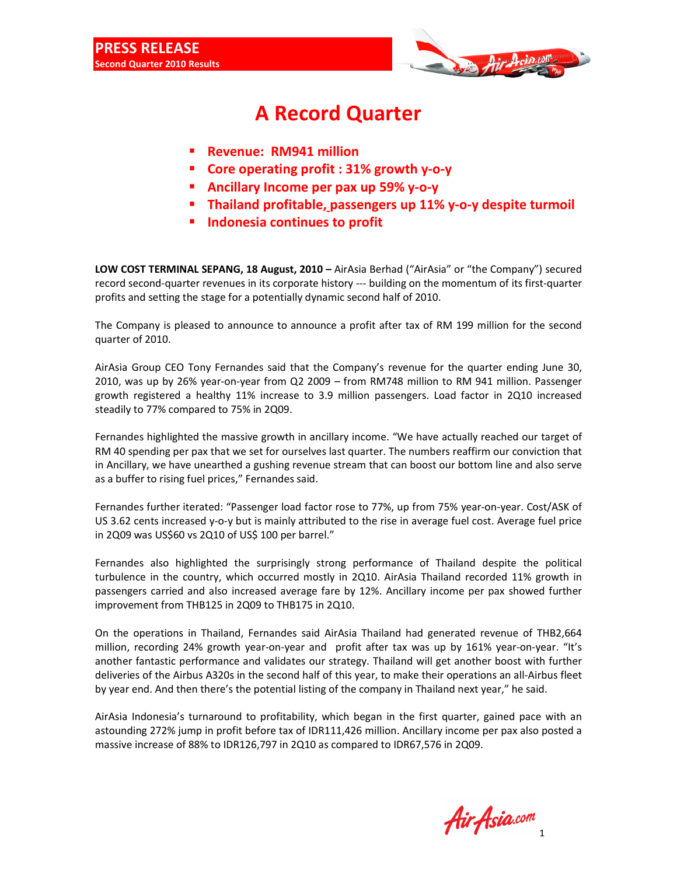

## **A Record Quarter**

- **Revenue: RM941 million**
- **Core operating profit : 31% growth y-o-y**
- **Ancillary Income per pax up 59% y-o-y**
- **Thailand profitable, passengers up 11% y-o-y despite turmoil**
- **Indonesia continues to profit**

LOW COST TERMINAL SEPANG, 18 August, 2010 – AirAsia Berhad ("AirAsia" or "the Company") secured record second-quarter revenues in its corporate history --- building on the momentum of its first-quarter profits and setting the stage for a potentially dynamic second half of 2010.

The Company is pleased to announce to announce a profit after tax of RM 199 million for the second quarter of 2010.

AirAsia Group CEO Tony Fernandes said that the Company's revenue for the quarter ending June 30, 2010, was up by 26% year-on-year from Q2 2009 – from RM748 million to RM 941 million. Passenger growth registered a healthy 11% increase to 3.9 million passengers. Load factor in 2Q10 increased steadily to 77% compared to 75% in 2Q09.

Fernandes highlighted the massive growth in ancillary income. "We have actually reached our target of RM 40 spending per pax that we set for ourselves last quarter. The numbers reaffirm our conviction that in Ancillary, we have unearthed a gushing revenue stream that can boost our bottom line and also serve as a buffer to rising fuel prices," Fernandes said.

Fernandes further iterated: "Passenger load factor rose to 77%, up from 75% year-on-year. Cost/ASK of US 3.62 cents increased y-o-y but is mainly attributed to the rise in average fuel cost. Average fuel price in 2Q09 was US\$60 vs 2Q10 of US\$ 100 per barrel."

Fernandes also highlighted the surprisingly strong performance of Thailand despite the political turbulence in the country, which occurred mostly in 2Q10. AirAsia Thailand recorded 11% growth in passengers carried and also increased average fare by 12%. Ancillary income per pax showed further improvement from THB125 in 2Q09 to THB175 in 2Q10.

On the operations in Thailand, Fernandes said AirAsia Thailand had generated revenue of THB2,664 million, recording 24% growth year-on-year and profit after tax was up by 161% year-on-year. "It's another fantastic performance and validates our strategy. Thailand will get another boost with further deliveries of the Airbus A320s in the second half of this year, to make their operations an all-Airbus fleet by year end. And then there's the potential listing of the company in Thailand next year," he said.

AirAsia Indonesia's turnaround to profitability, which began in the first quarter, gained pace with an astounding 272% jump in profit before tax of IDR111,426 million. Ancillary income per pax also posted a massive increase of 88% to IDR126,797 in 2Q10 as compared to IDR67,576 in 2Q09.

1